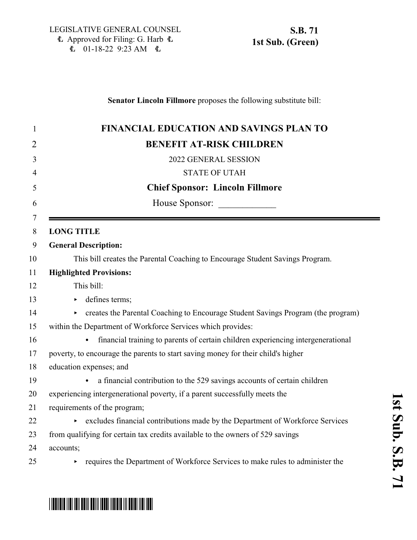### **Senator Lincoln Fillmore** proposes the following substitute bill:

|             | <b>FINANCIAL EDUCATION AND SAVINGS PLAN TO</b>                                        |
|-------------|---------------------------------------------------------------------------------------|
|             | <b>BENEFIT AT-RISK CHILDREN</b>                                                       |
|             | 2022 GENERAL SESSION                                                                  |
|             | <b>STATE OF UTAH</b>                                                                  |
|             | <b>Chief Sponsor: Lincoln Fillmore</b>                                                |
|             | House Sponsor:                                                                        |
| $\tau$<br>8 | <b>LONG TITLE</b>                                                                     |
| 9           | <b>General Description:</b>                                                           |
| 10          | This bill creates the Parental Coaching to Encourage Student Savings Program.         |
|             | <b>Highlighted Provisions:</b>                                                        |
| 12          | This bill:                                                                            |
| 13          | defines terms;<br>$\blacktriangleright$                                               |
| 14          | creates the Parental Coaching to Encourage Student Savings Program (the program)<br>▶ |
|             | within the Department of Workforce Services which provides:                           |
|             | financial training to parents of certain children experiencing intergenerational      |
| 17          | poverty, to encourage the parents to start saving money for their child's higher      |
| 18          | education expenses; and                                                               |
| 19          | a financial contribution to the 529 savings accounts of certain children              |
| 20          | experiencing intergenerational poverty, if a parent successfully meets the            |
|             | requirements of the program;                                                          |
| 22          | excludes financial contributions made by the Department of Workforce Services<br>▶ .  |
| 23          | from qualifying for certain tax credits available to the owners of 529 savings        |
| 24          | accounts;                                                                             |
|             | requires the Department of Workforce Services to make rules to administer the<br>▶    |

# \*SB0071S01\*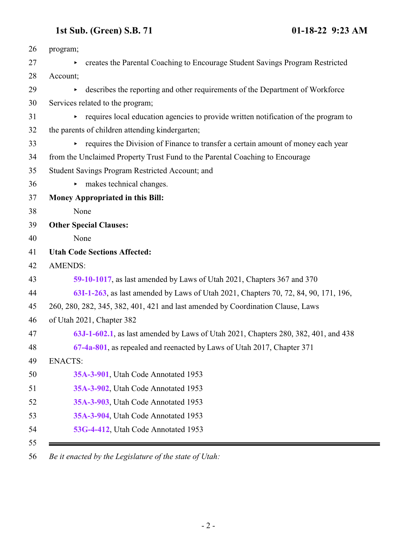| 26 | program;       |                                                                                       |
|----|----------------|---------------------------------------------------------------------------------------|
| 27 |                | creates the Parental Coaching to Encourage Student Savings Program Restricted         |
| 28 | Account;       |                                                                                       |
| 29 | Þ.             | describes the reporting and other requirements of the Department of Workforce         |
| 30 |                | Services related to the program;                                                      |
| 31 |                | • requires local education agencies to provide written notification of the program to |
| 32 |                | the parents of children attending kindergarten;                                       |
| 33 |                | • requires the Division of Finance to transfer a certain amount of money each year    |
| 34 |                | from the Unclaimed Property Trust Fund to the Parental Coaching to Encourage          |
| 35 |                | Student Savings Program Restricted Account; and                                       |
| 36 |                | $\triangleright$ makes technical changes.                                             |
| 37 |                | Money Appropriated in this Bill:                                                      |
| 38 | None           |                                                                                       |
| 39 |                | <b>Other Special Clauses:</b>                                                         |
| 40 | None           |                                                                                       |
| 41 |                | <b>Utah Code Sections Affected:</b>                                                   |
| 42 | <b>AMENDS:</b> |                                                                                       |
| 43 |                | 59-10-1017, as last amended by Laws of Utah 2021, Chapters 367 and 370                |
| 44 |                | 63I-1-263, as last amended by Laws of Utah 2021, Chapters 70, 72, 84, 90, 171, 196,   |
| 45 |                | 260, 280, 282, 345, 382, 401, 421 and last amended by Coordination Clause, Laws       |
| 46 |                | of Utah 2021, Chapter 382                                                             |
| 47 |                | 63J-1-602.1, as last amended by Laws of Utah 2021, Chapters 280, 382, 401, and 438    |
| 48 |                | 67-4a-801, as repealed and reenacted by Laws of Utah 2017, Chapter 371                |
| 49 | <b>ENACTS:</b> |                                                                                       |
| 50 |                | 35A-3-901, Utah Code Annotated 1953                                                   |
| 51 |                | 35A-3-902, Utah Code Annotated 1953                                                   |
| 52 |                | 35A-3-903. Utah Code Annotated 1953                                                   |
| 53 |                | 35A-3-904, Utah Code Annotated 1953                                                   |
| 54 |                | 53G-4-412, Utah Code Annotated 1953                                                   |

*Be it enacted by the Legislature of the state of Utah:*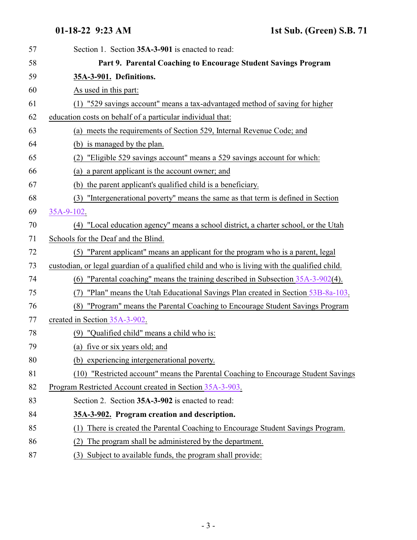<span id="page-2-1"></span><span id="page-2-0"></span>

| 57 | Section 1. Section 35A-3-901 is enacted to read:                                              |
|----|-----------------------------------------------------------------------------------------------|
| 58 | Part 9. Parental Coaching to Encourage Student Savings Program                                |
| 59 | 35A-3-901. Definitions.                                                                       |
| 60 | As used in this part:                                                                         |
| 61 | (1) "529 savings account" means a tax-advantaged method of saving for higher                  |
| 62 | education costs on behalf of a particular individual that:                                    |
| 63 | (a) meets the requirements of Section 529, Internal Revenue Code; and                         |
| 64 | (b) is managed by the plan.                                                                   |
| 65 | "Eligible 529 savings account" means a 529 savings account for which:<br>(2)                  |
| 66 | (a) a parent applicant is the account owner; and                                              |
| 67 | (b) the parent applicant's qualified child is a beneficiary.                                  |
| 68 | (3) "Intergenerational poverty" means the same as that term is defined in Section             |
| 69 | 35A-9-102.                                                                                    |
| 70 | (4) "Local education agency" means a school district, a charter school, or the Utah           |
| 71 | Schools for the Deaf and the Blind.                                                           |
| 72 | (5) "Parent applicant" means an applicant for the program who is a parent, legal              |
| 73 | custodian, or legal guardian of a qualified child and who is living with the qualified child. |
| 74 | (6) "Parental coaching" means the training described in Subsection $35A-3-902(4)$ .           |
| 75 | "Plan" means the Utah Educational Savings Plan created in Section 53B-8a-103.<br>(7)          |
| 76 | (8) "Program" means the Parental Coaching to Encourage Student Savings Program                |
| 77 | created in Section 35A-3-902.                                                                 |
| 78 | (9) "Qualified child" means a child who is:                                                   |
| 79 | (a) five or six years old; and                                                                |
| 80 | (b) experiencing intergenerational poverty.                                                   |
| 81 | (10) "Restricted account" means the Parental Coaching to Encourage Student Savings            |
| 82 | Program Restricted Account created in Section 35A-3-903.                                      |
| 83 | Section 2. Section 35A-3-902 is enacted to read:                                              |
| 84 | 35A-3-902. Program creation and description.                                                  |
| 85 | There is created the Parental Coaching to Encourage Student Savings Program.<br>(1)           |
| 86 | The program shall be administered by the department.<br>(2)                                   |
| 87 | Subject to available funds, the program shall provide:<br>(3)                                 |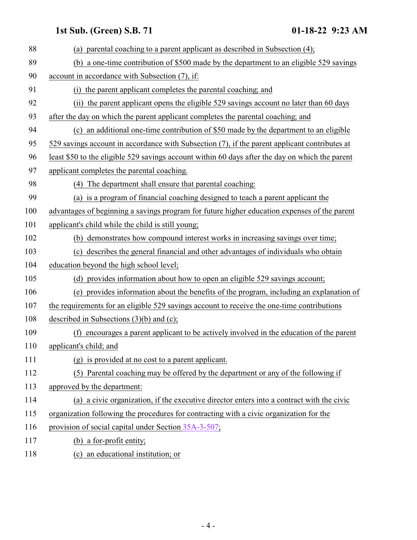| 88  | (a) parental coaching to a parent applicant as described in Subsection (4);                     |
|-----|-------------------------------------------------------------------------------------------------|
| 89  | (b) a one-time contribution of \$500 made by the department to an eligible 529 savings          |
| 90  | account in accordance with Subsection (7), if:                                                  |
| 91  | (i) the parent applicant completes the parental coaching; and                                   |
| 92  | (ii) the parent applicant opens the eligible 529 savings account no later than 60 days          |
| 93  | after the day on which the parent applicant completes the parental coaching; and                |
| 94  | (c) an additional one-time contribution of \$50 made by the department to an eligible           |
| 95  | 529 savings account in accordance with Subsection (7), if the parent applicant contributes at   |
| 96  | least \$50 to the eligible 529 savings account within 60 days after the day on which the parent |
| 97  | applicant completes the parental coaching.                                                      |
| 98  | (4) The department shall ensure that parental coaching:                                         |
| 99  | (a) is a program of financial coaching designed to teach a parent applicant the                 |
| 100 | advantages of beginning a savings program for future higher education expenses of the parent    |
| 101 | applicant's child while the child is still young;                                               |
| 102 | (b) demonstrates how compound interest works in increasing savings over time;                   |
| 103 | (c) describes the general financial and other advantages of individuals who obtain              |
| 104 | education beyond the high school level;                                                         |
| 105 | (d) provides information about how to open an eligible 529 savings account;                     |
| 106 | (e) provides information about the benefits of the program, including an explanation of         |
| 107 | the requirements for an eligible 529 savings account to receive the one-time contributions      |
| 108 | described in Subsections $(3)(b)$ and $(c)$ ;                                                   |
| 109 | (f) encourages a parent applicant to be actively involved in the education of the parent        |
| 110 | applicant's child; and                                                                          |
| 111 | (g) is provided at no cost to a parent applicant.                                               |
| 112 | (5) Parental coaching may be offered by the department or any of the following if               |
| 113 | approved by the department:                                                                     |
| 114 | (a) a civic organization, if the executive director enters into a contract with the civic       |
| 115 | organization following the procedures for contracting with a civic organization for the         |
| 116 | provision of social capital under Section 35A-3-507;                                            |
| 117 | (b) a for-profit entity;                                                                        |
| 118 | (c) an educational institution; or                                                              |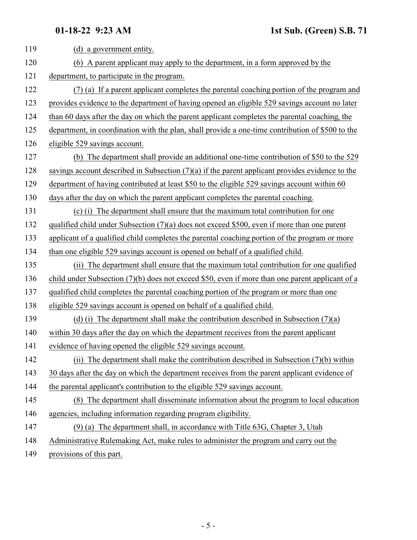| 119 | (d) a government entity.                                                                          |
|-----|---------------------------------------------------------------------------------------------------|
| 120 | (6) A parent applicant may apply to the department, in a form approved by the                     |
| 121 | department, to participate in the program.                                                        |
| 122 | (7) (a) If a parent applicant completes the parental coaching portion of the program and          |
| 123 | provides evidence to the department of having opened an eligible 529 savings account no later     |
| 124 | than 60 days after the day on which the parent applicant completes the parental coaching, the     |
| 125 | department, in coordination with the plan, shall provide a one-time contribution of \$500 to the  |
| 126 | eligible 529 savings account.                                                                     |
| 127 | (b) The department shall provide an additional one-time contribution of \$50 to the 529           |
| 128 | savings account described in Subsection $(7)(a)$ if the parent applicant provides evidence to the |
| 129 | department of having contributed at least \$50 to the eligible 529 savings account within 60      |
| 130 | days after the day on which the parent applicant completes the parental coaching.                 |
| 131 | (c) (i) The department shall ensure that the maximum total contribution for one                   |
| 132 | qualified child under Subsection $(7)(a)$ does not exceed \$500, even if more than one parent     |
| 133 | applicant of a qualified child completes the parental coaching portion of the program or more     |
| 134 | than one eligible 529 savings account is opened on behalf of a qualified child.                   |
| 135 | (ii) The department shall ensure that the maximum total contribution for one qualified            |
| 136 | child under Subsection $(7)(b)$ does not exceed \$50, even if more than one parent applicant of a |
| 137 | qualified child completes the parental coaching portion of the program or more than one           |
| 138 | eligible 529 savings account is opened on behalf of a qualified child.                            |
| 139 | (d) (i) The department shall make the contribution described in Subsection $(7)(a)$               |
| 140 | within 30 days after the day on which the department receives from the parent applicant           |
| 141 | evidence of having opened the eligible 529 savings account.                                       |
| 142 | (ii) The department shall make the contribution described in Subsection (7)(b) within             |
| 143 | 30 days after the day on which the department receives from the parent applicant evidence of      |
| 144 | the parental applicant's contribution to the eligible 529 savings account.                        |
| 145 | (8) The department shall disseminate information about the program to local education             |
| 146 | agencies, including information regarding program eligibility.                                    |
| 147 | (9) (a) The department shall, in accordance with Title 63G, Chapter 3, Utah                       |
| 148 | Administrative Rulemaking Act, make rules to administer the program and carry out the             |
| 149 | provisions of this part.                                                                          |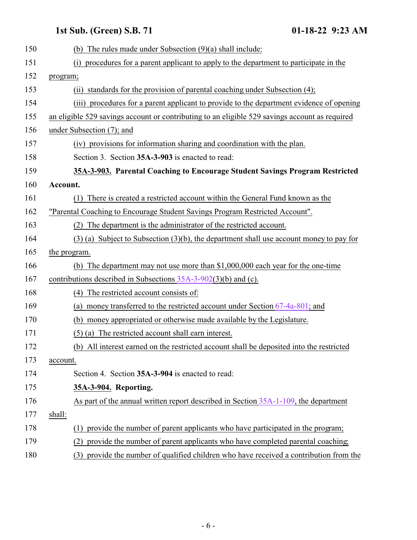<span id="page-5-1"></span><span id="page-5-0"></span>

| 150 | (b) The rules made under Subsection $(9)(a)$ shall include:                                    |
|-----|------------------------------------------------------------------------------------------------|
| 151 | procedures for a parent applicant to apply to the department to participate in the<br>(i)      |
| 152 | program;                                                                                       |
| 153 | (ii) standards for the provision of parental coaching under Subsection (4);                    |
| 154 | procedures for a parent applicant to provide to the department evidence of opening<br>(iii)    |
| 155 | an eligible 529 savings account or contributing to an eligible 529 savings account as required |
| 156 | under Subsection (7); and                                                                      |
| 157 | (iv) provisions for information sharing and coordination with the plan.                        |
| 158 | Section 3. Section 35A-3-903 is enacted to read:                                               |
| 159 | 35A-3-903. Parental Coaching to Encourage Student Savings Program Restricted                   |
| 160 | Account.                                                                                       |
| 161 | There is created a restricted account within the General Fund known as the<br>(1)              |
| 162 | "Parental Coaching to Encourage Student Savings Program Restricted Account".                   |
| 163 | (2) The department is the administrator of the restricted account.                             |
| 164 | $(3)$ (a) Subject to Subsection $(3)(b)$ , the department shall use account money to pay for   |
| 165 | the program.                                                                                   |
| 166 | (b) The department may not use more than \$1,000,000 each year for the one-time                |
| 167 | contributions described in Subsections $35A-3-902(3)(b)$ and (c).                              |
| 168 | (4) The restricted account consists of:                                                        |
| 169 | (a) money transferred to the restricted account under Section $67-4a-801$ ; and                |
| 170 | money appropriated or otherwise made available by the Legislature.<br>(b)                      |
| 171 | $(5)$ (a) The restricted account shall earn interest.                                          |
| 172 | (b) All interest earned on the restricted account shall be deposited into the restricted       |
| 173 | account.                                                                                       |
| 174 | Section 4. Section 35A-3-904 is enacted to read:                                               |
| 175 | 35A-3-904. Reporting.                                                                          |
| 176 | As part of the annual written report described in Section 35A-1-109, the department            |
| 177 | shall:                                                                                         |
| 178 | provide the number of parent applicants who have participated in the program;<br>(1)           |
| 179 | provide the number of parent applicants who have completed parental coaching;<br>(2)           |
| 180 | provide the number of qualified children who have received a contribution from the<br>(3)      |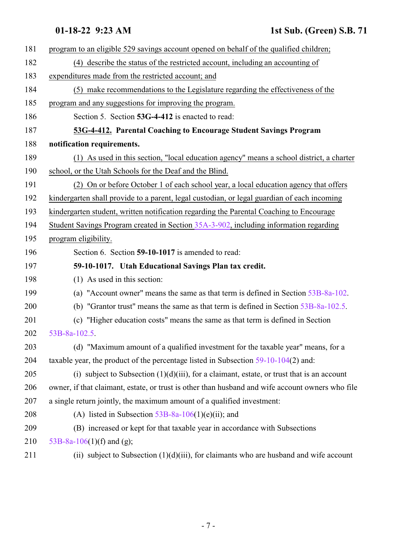<span id="page-6-1"></span><span id="page-6-0"></span>

| 181 | program to an eligible 529 savings account opened on behalf of the qualified children;           |
|-----|--------------------------------------------------------------------------------------------------|
| 182 | (4) describe the status of the restricted account, including an accounting of                    |
| 183 | expenditures made from the restricted account; and                                               |
| 184 | (5) make recommendations to the Legislature regarding the effectiveness of the                   |
| 185 | program and any suggestions for improving the program.                                           |
| 186 | Section 5. Section 53G-4-412 is enacted to read:                                                 |
| 187 | 53G-4-412. Parental Coaching to Encourage Student Savings Program                                |
| 188 | notification requirements.                                                                       |
| 189 | (1) As used in this section, "local education agency" means a school district, a charter         |
| 190 | school, or the Utah Schools for the Deaf and the Blind.                                          |
| 191 | (2) On or before October 1 of each school year, a local education agency that offers             |
| 192 | kindergarten shall provide to a parent, legal custodian, or legal guardian of each incoming      |
| 193 | kindergarten student, written notification regarding the Parental Coaching to Encourage          |
| 194 | Student Savings Program created in Section 35A-3-902, including information regarding            |
| 195 | program eligibility.                                                                             |
| 196 | Section 6. Section 59-10-1017 is amended to read:                                                |
| 197 | 59-10-1017. Utah Educational Savings Plan tax credit.                                            |
| 198 | (1) As used in this section:                                                                     |
| 199 | (a) "Account owner" means the same as that term is defined in Section 53B-8a-102.                |
| 200 | (b) "Grantor trust" means the same as that term is defined in Section 53B-8a-102.5.              |
| 201 | (c) "Higher education costs" means the same as that term is defined in Section                   |
| 202 | 53B-8a-102.5.                                                                                    |
| 203 | (d) "Maximum amount of a qualified investment for the taxable year" means, for a                 |
| 204 | taxable year, the product of the percentage listed in Subsection $59-10-104(2)$ and:             |
| 205 | (i) subject to Subsection $(1)(d)(iii)$ , for a claimant, estate, or trust that is an account    |
| 206 | owner, if that claimant, estate, or trust is other than husband and wife account owners who file |
| 207 | a single return jointly, the maximum amount of a qualified investment:                           |
| 208 | (A) listed in Subsection $53B-8a-106(1)(e)(ii)$ ; and                                            |
| 209 | (B) increased or kept for that taxable year in accordance with Subsections                       |
| 210 | 53B-8a-106(1)(f) and (g);                                                                        |
| 211 | (ii) subject to Subsection $(1)(d)(iii)$ , for claimants who are husband and wife account        |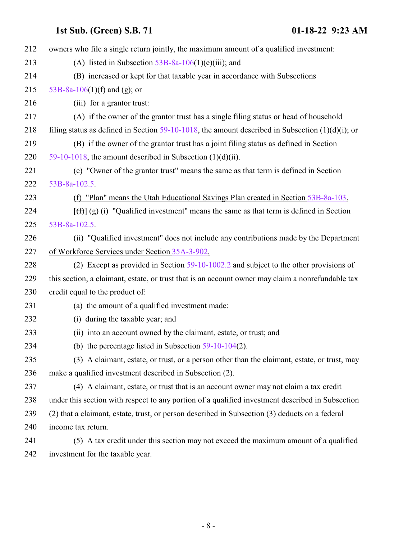| 212 | owners who file a single return jointly, the maximum amount of a qualified investment:              |
|-----|-----------------------------------------------------------------------------------------------------|
| 213 | (A) listed in Subsection $53B-8a-106(1)(e)(iii)$ ; and                                              |
| 214 | (B) increased or kept for that taxable year in accordance with Subsections                          |
| 215 | 53B-8a-106(1)(f) and (g); or                                                                        |
| 216 | (iii) for a grantor trust:                                                                          |
| 217 | (A) if the owner of the grantor trust has a single filing status or head of household               |
| 218 | filing status as defined in Section 59-10-1018, the amount described in Subsection $(1)(d)(i)$ ; or |
| 219 | (B) if the owner of the grantor trust has a joint filing status as defined in Section               |
| 220 | 59-10-1018, the amount described in Subsection $(1)(d)(ii)$ .                                       |
| 221 | (e) "Owner of the grantor trust" means the same as that term is defined in Section                  |
| 222 | 53B-8a-102.5.                                                                                       |
| 223 | (f) "Plan" means the Utah Educational Savings Plan created in Section 53B-8a-103.                   |
| 224 | $[f(f)]$ (g) (i) "Qualified investment" means the same as that term is defined in Section           |
| 225 | 53B-8a-102.5                                                                                        |
| 226 | (ii) "Qualified investment" does not include any contributions made by the Department               |
| 227 | of Workforce Services under Section 35A-3-902.                                                      |
| 228 | (2) Except as provided in Section $59-10-1002.2$ and subject to the other provisions of             |
| 229 | this section, a claimant, estate, or trust that is an account owner may claim a nonrefundable tax   |
| 230 | credit equal to the product of:                                                                     |
| 231 | (a) the amount of a qualified investment made:                                                      |
| 232 | (i) during the taxable year; and                                                                    |
| 233 | (ii) into an account owned by the claimant, estate, or trust; and                                   |
| 234 | (b) the percentage listed in Subsection $59-10-104(2)$ .                                            |
| 235 | (3) A claimant, estate, or trust, or a person other than the claimant, estate, or trust, may        |
| 236 | make a qualified investment described in Subsection (2).                                            |
| 237 | (4) A claimant, estate, or trust that is an account owner may not claim a tax credit                |
| 238 | under this section with respect to any portion of a qualified investment described in Subsection    |
| 239 | (2) that a claimant, estate, trust, or person described in Subsection (3) deducts on a federal      |
| 240 | income tax return.                                                                                  |
| 241 | (5) A tax credit under this section may not exceed the maximum amount of a qualified                |
| 242 | investment for the taxable year.                                                                    |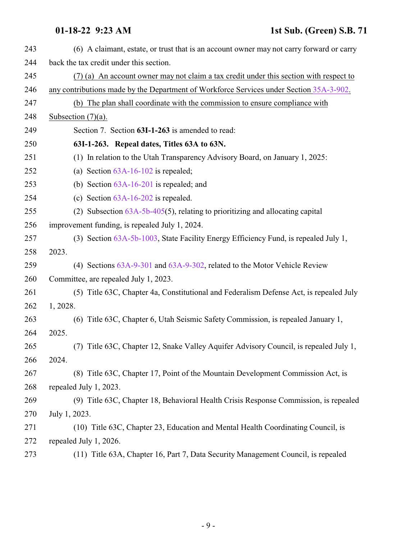<span id="page-8-0"></span>

| 243 | (6) A claimant, estate, or trust that is an account owner may not carry forward or carry |
|-----|------------------------------------------------------------------------------------------|
| 244 | back the tax credit under this section.                                                  |
| 245 | (7) (a) An account owner may not claim a tax credit under this section with respect to   |
| 246 | any contributions made by the Department of Workforce Services under Section 35A-3-902.  |
| 247 | (b) The plan shall coordinate with the commission to ensure compliance with              |
| 248 | Subsection $(7)(a)$ .                                                                    |
| 249 | Section 7. Section 63I-1-263 is amended to read:                                         |
| 250 | 63I-1-263. Repeal dates, Titles 63A to 63N.                                              |
| 251 | (1) In relation to the Utah Transparency Advisory Board, on January 1, 2025:             |
| 252 | (a) Section $63A-16-102$ is repealed;                                                    |
| 253 | (b) Section $63A-16-201$ is repealed; and                                                |
| 254 | (c) Section $63A-16-202$ is repealed.                                                    |
| 255 | (2) Subsection $63A-5b-405(5)$ , relating to prioritizing and allocating capital         |
| 256 | improvement funding, is repealed July 1, 2024.                                           |
| 257 | (3) Section 63A-5b-1003, State Facility Energy Efficiency Fund, is repealed July 1,      |
| 258 | 2023.                                                                                    |
| 259 | (4) Sections 63A-9-301 and 63A-9-302, related to the Motor Vehicle Review                |
| 260 | Committee, are repealed July 1, 2023.                                                    |
| 261 | (5) Title 63C, Chapter 4a, Constitutional and Federalism Defense Act, is repealed July   |
| 262 | 1, 2028.                                                                                 |
| 263 | (6) Title 63C, Chapter 6, Utah Seismic Safety Commission, is repealed January 1,         |
| 264 | 2025.                                                                                    |
| 265 | (7) Title 63C, Chapter 12, Snake Valley Aquifer Advisory Council, is repealed July 1,    |
| 266 | 2024.                                                                                    |
| 267 | (8) Title 63C, Chapter 17, Point of the Mountain Development Commission Act, is          |
| 268 | repealed July 1, 2023.                                                                   |
| 269 | (9) Title 63C, Chapter 18, Behavioral Health Crisis Response Commission, is repealed     |
| 270 | July 1, 2023.                                                                            |
| 271 | (10) Title 63C, Chapter 23, Education and Mental Health Coordinating Council, is         |
| 272 | repealed July 1, 2026.                                                                   |
| 273 | (11) Title 63A, Chapter 16, Part 7, Data Security Management Council, is repealed        |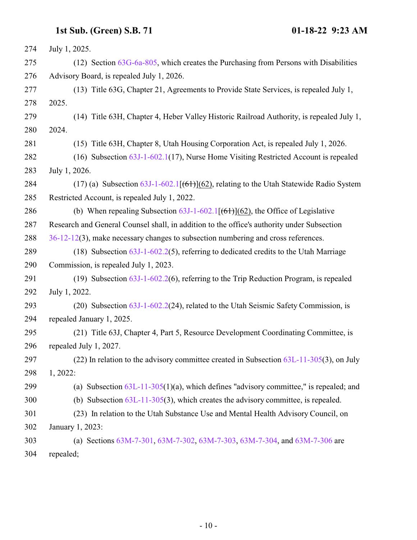| 274 | July 1, 2025.                                                                                          |
|-----|--------------------------------------------------------------------------------------------------------|
| 275 | $(12)$ Section $63G-6a-805$ , which creates the Purchasing from Persons with Disabilities              |
| 276 | Advisory Board, is repealed July 1, 2026.                                                              |
| 277 | (13) Title 63G, Chapter 21, Agreements to Provide State Services, is repealed July 1,                  |
| 278 | 2025.                                                                                                  |
| 279 | (14) Title 63H, Chapter 4, Heber Valley Historic Railroad Authority, is repealed July 1,               |
| 280 | 2024.                                                                                                  |
| 281 | (15) Title 63H, Chapter 8, Utah Housing Corporation Act, is repealed July 1, 2026.                     |
| 282 | (16) Subsection 63J-1-602.1(17), Nurse Home Visiting Restricted Account is repealed                    |
| 283 | July 1, 2026.                                                                                          |
| 284 | (17) (a) Subsection $\frac{63J-1-602.1[ (61) ](62)}{62}$ , relating to the Utah Statewide Radio System |
| 285 | Restricted Account, is repealed July 1, 2022.                                                          |
| 286 | (b) When repealing Subsection $63J-1-602.1[ (61) ] (62)$ , the Office of Legislative                   |
| 287 | Research and General Counsel shall, in addition to the office's authority under Subsection             |
| 288 | 36-12-12(3), make necessary changes to subsection numbering and cross references.                      |
| 289 | (18) Subsection $63J-1-602.2(5)$ , referring to dedicated credits to the Utah Marriage                 |
| 290 | Commission, is repealed July 1, 2023.                                                                  |
| 291 | (19) Subsection $63J-1-602.2(6)$ , referring to the Trip Reduction Program, is repealed                |
| 292 | July 1, 2022.                                                                                          |
| 293 | (20) Subsection 63J-1-602.2(24), related to the Utah Seismic Safety Commission, is                     |
| 294 | repealed January 1, 2025.                                                                              |
| 295 | (21) Title 63J, Chapter 4, Part 5, Resource Development Coordinating Committee, is                     |
| 296 | repealed July 1, 2027.                                                                                 |
| 297 | $(22)$ In relation to the advisory committee created in Subsection $63L-11-305(3)$ , on July           |
| 298 | 1, 2022:                                                                                               |
| 299 | (a) Subsection $63L-11-305(1)(a)$ , which defines "advisory committee," is repealed; and               |
| 300 | (b) Subsection $63L-11-305(3)$ , which creates the advisory committee, is repealed.                    |
| 301 | (23) In relation to the Utah Substance Use and Mental Health Advisory Council, on                      |
| 302 | January 1, 2023:                                                                                       |
| 303 | (a) Sections 63M-7-301, 63M-7-302, 63M-7-303, 63M-7-304, and 63M-7-306 are                             |
| 304 | repealed;                                                                                              |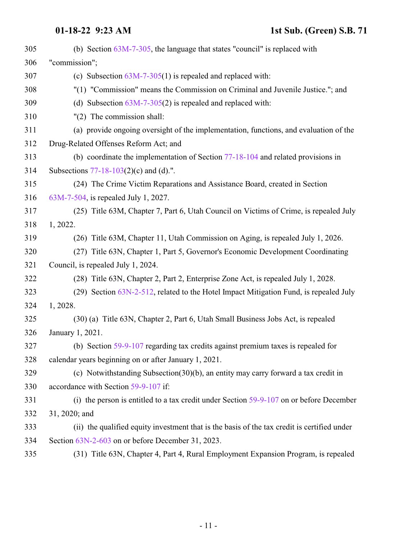### **01-18-22 9:23 AM 1st Sub. (Green) S.B. 71**

| 305 | (b) Section $63M-7-305$ , the language that states "council" is replaced with               |
|-----|---------------------------------------------------------------------------------------------|
| 306 | "commission";                                                                               |
| 307 | (c) Subsection $63M-7-305(1)$ is repealed and replaced with:                                |
| 308 | "(1) "Commission" means the Commission on Criminal and Juvenile Justice."; and              |
| 309 | (d) Subsection $63M-7-305(2)$ is repealed and replaced with:                                |
| 310 | $"(2)$ The commission shall:                                                                |
| 311 | (a) provide ongoing oversight of the implementation, functions, and evaluation of the       |
| 312 | Drug-Related Offenses Reform Act; and                                                       |
| 313 | (b) coordinate the implementation of Section $77-18-104$ and related provisions in          |
| 314 | Subsections 77-18-103(2)(c) and (d).".                                                      |
| 315 | (24) The Crime Victim Reparations and Assistance Board, created in Section                  |
| 316 | 63M-7-504, is repealed July 1, 2027.                                                        |
| 317 | (25) Title 63M, Chapter 7, Part 6, Utah Council on Victims of Crime, is repealed July       |
| 318 | 1, 2022.                                                                                    |
| 319 | (26) Title 63M, Chapter 11, Utah Commission on Aging, is repealed July 1, 2026.             |
| 320 | (27) Title 63N, Chapter 1, Part 5, Governor's Economic Development Coordinating             |
| 321 | Council, is repealed July 1, 2024.                                                          |
| 322 | (28) Title 63N, Chapter 2, Part 2, Enterprise Zone Act, is repealed July 1, 2028.           |
| 323 | $(29)$ Section $63N-2-512$ , related to the Hotel Impact Mitigation Fund, is repealed July  |
| 324 | 1, 2028.                                                                                    |
| 325 | (30) (a) Title 63N, Chapter 2, Part 6, Utah Small Business Jobs Act, is repealed            |
| 326 | January 1, 2021.                                                                            |
| 327 | (b) Section 59-9-107 regarding tax credits against premium taxes is repealed for            |
| 328 | calendar years beginning on or after January 1, 2021.                                       |
| 329 | (c) Notwithstanding Subsection(30)(b), an entity may carry forward a tax credit in          |
| 330 | accordance with Section 59-9-107 if:                                                        |
| 331 | (i) the person is entitled to a tax credit under Section $59-9-107$ on or before December   |
| 332 | 31, 2020; and                                                                               |
| 333 | (ii) the qualified equity investment that is the basis of the tax credit is certified under |
| 334 | Section 63N-2-603 on or before December 31, 2023.                                           |
| 335 | (31) Title 63N, Chapter 4, Part 4, Rural Employment Expansion Program, is repealed          |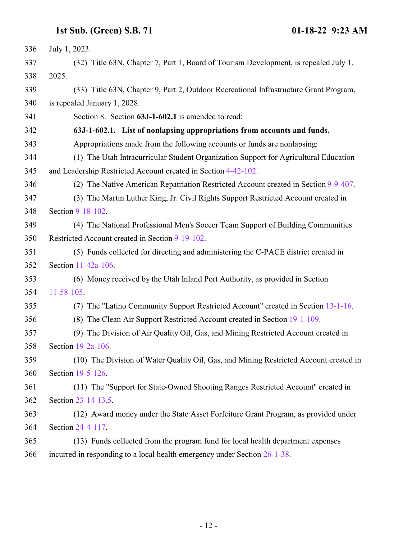<span id="page-11-0"></span>

| 336 | July 1, 2023.                                                                         |
|-----|---------------------------------------------------------------------------------------|
| 337 | (32) Title 63N, Chapter 7, Part 1, Board of Tourism Development, is repealed July 1,  |
| 338 | 2025.                                                                                 |
| 339 | (33) Title 63N, Chapter 9, Part 2, Outdoor Recreational Infrastructure Grant Program, |
| 340 | is repealed January 1, 2028.                                                          |
| 341 | Section 8. Section 63J-1-602.1 is amended to read:                                    |
| 342 | 63J-1-602.1. List of nonlapsing appropriations from accounts and funds.               |
| 343 | Appropriations made from the following accounts or funds are nonlapsing:              |
| 344 | (1) The Utah Intracurricular Student Organization Support for Agricultural Education  |
| 345 | and Leadership Restricted Account created in Section 4-42-102.                        |
| 346 | (2) The Native American Repatriation Restricted Account created in Section 9-9-407.   |
| 347 | (3) The Martin Luther King, Jr. Civil Rights Support Restricted Account created in    |
| 348 | Section 9-18-102.                                                                     |
| 349 | (4) The National Professional Men's Soccer Team Support of Building Communities       |
| 350 | Restricted Account created in Section 9-19-102.                                       |
| 351 | (5) Funds collected for directing and administering the C-PACE district created in    |
| 352 | Section 11-42a-106.                                                                   |
| 353 | (6) Money received by the Utah Inland Port Authority, as provided in Section          |
| 354 | $11 - 58 - 105$                                                                       |
| 355 | (7) The "Latino Community Support Restricted Account" created in Section 13-1-16.     |
| 356 | (8) The Clean Air Support Restricted Account created in Section 19-1-109.             |
| 357 | (9) The Division of Air Quality Oil, Gas, and Mining Restricted Account created in    |
| 358 | Section $19-2a-106$ .                                                                 |
| 359 | (10) The Division of Water Quality Oil, Gas, and Mining Restricted Account created in |
| 360 | Section 19-5-126.                                                                     |
| 361 | (11) The "Support for State-Owned Shooting Ranges Restricted Account" created in      |
| 362 | Section 23-14-13.5.                                                                   |
| 363 | (12) Award money under the State Asset Forfeiture Grant Program, as provided under    |
| 364 | Section 24-4-117.                                                                     |
| 365 | (13) Funds collected from the program fund for local health department expenses       |
| 366 | incurred in responding to a local health emergency under Section 26-1-38.             |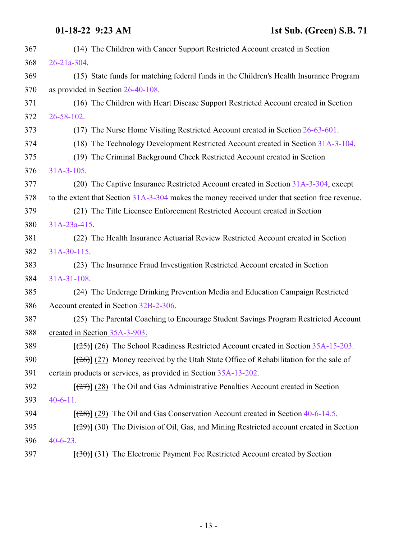### **01-18-22 9:23 AM 1st Sub. (Green) S.B. 71**

| 367 | (14) The Children with Cancer Support Restricted Account created in Section                       |
|-----|---------------------------------------------------------------------------------------------------|
| 368 | $26 - 21a - 304$ .                                                                                |
| 369 | (15) State funds for matching federal funds in the Children's Health Insurance Program            |
| 370 | as provided in Section 26-40-108.                                                                 |
| 371 | (16) The Children with Heart Disease Support Restricted Account created in Section                |
| 372 | 26-58-102.                                                                                        |
| 373 | (17) The Nurse Home Visiting Restricted Account created in Section 26-63-601.                     |
| 374 | (18) The Technology Development Restricted Account created in Section 31A-3-104.                  |
| 375 | (19) The Criminal Background Check Restricted Account created in Section                          |
| 376 | $31A-3-105$ .                                                                                     |
| 377 | (20) The Captive Insurance Restricted Account created in Section 31A-3-304, except                |
| 378 | to the extent that Section 31A-3-304 makes the money received under that section free revenue.    |
| 379 | (21) The Title Licensee Enforcement Restricted Account created in Section                         |
| 380 | 31A-23a-415                                                                                       |
| 381 | (22) The Health Insurance Actuarial Review Restricted Account created in Section                  |
| 382 | $31A-30-115$                                                                                      |
| 383 | (23) The Insurance Fraud Investigation Restricted Account created in Section                      |
| 384 | $31A-31-108$                                                                                      |
| 385 | (24) The Underage Drinking Prevention Media and Education Campaign Restricted                     |
| 386 | Account created in Section 32B-2-306.                                                             |
| 387 | (25) The Parental Coaching to Encourage Student Savings Program Restricted Account                |
| 388 | created in Section 35A-3-903.                                                                     |
| 389 | $[$ (25)] (26) The School Readiness Restricted Account created in Section 35A-15-203.             |
| 390 | $[\frac{126}{20}]$ (27) Money received by the Utah State Office of Rehabilitation for the sale of |
| 391 | certain products or services, as provided in Section 35A-13-202.                                  |
| 392 | $[\frac{27}{27}]$ (28) The Oil and Gas Administrative Penalties Account created in Section        |
| 393 | $40-6-11$ .                                                                                       |
| 394 | $[28]$ (29) The Oil and Gas Conservation Account created in Section 40-6-14.5.                    |
| 395 | $[29]$ (30) The Division of Oil, Gas, and Mining Restricted account created in Section            |
| 396 | $40 - 6 - 23$ .                                                                                   |
| 397 | $[30(31)]$ The Electronic Payment Fee Restricted Account created by Section                       |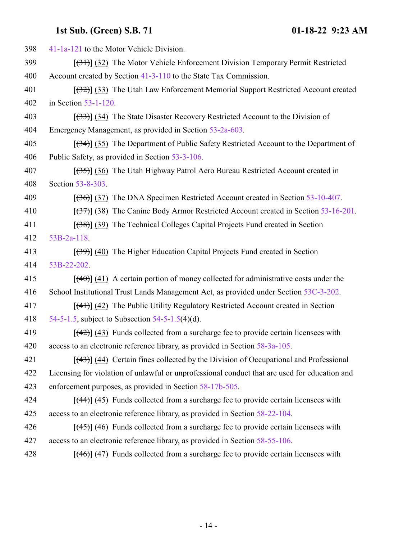| 398 | 41-1a-121 to the Motor Vehicle Division.                                                      |
|-----|-----------------------------------------------------------------------------------------------|
| 399 | $[31]$ (32) The Motor Vehicle Enforcement Division Temporary Permit Restricted                |
| 400 | Account created by Section 41-3-110 to the State Tax Commission.                              |
| 401 | $[32]$ (33) The Utah Law Enforcement Memorial Support Restricted Account created              |
| 402 | in Section 53-1-120.                                                                          |
| 403 | $[333]$ (34) The State Disaster Recovery Restricted Account to the Division of                |
| 404 | Emergency Management, as provided in Section 53-2a-603.                                       |
| 405 | $[34]$ (35) The Department of Public Safety Restricted Account to the Department of           |
| 406 | Public Safety, as provided in Section 53-3-106.                                               |
| 407 | $[35]$ (36) The Utah Highway Patrol Aero Bureau Restricted Account created in                 |
| 408 | Section 53-8-303.                                                                             |
| 409 | $[ (36) ]$ (37) The DNA Specimen Restricted Account created in Section 53-10-407.             |
| 410 | $[37]$ (38) The Canine Body Armor Restricted Account created in Section 53-16-201.            |
| 411 | $[ (38) ] (39)$ The Technical Colleges Capital Projects Fund created in Section               |
| 412 | $53B-2a-118$ .                                                                                |
| 413 | $[39]$ (40) The Higher Education Capital Projects Fund created in Section                     |
| 414 | 53B-22-202.                                                                                   |
| 415 | $[$ (40)] (41) A certain portion of money collected for administrative costs under the        |
| 416 | School Institutional Trust Lands Management Act, as provided under Section 53C-3-202.         |
| 417 | $[$ (41)] (42) The Public Utility Regulatory Restricted Account created in Section            |
| 418 | 54-5-1.5, subject to Subsection $54$ -5-1.5(4)(d).                                            |
| 419 | $[$ (42) $]$ (43) Funds collected from a surcharge fee to provide certain licensees with      |
| 420 | access to an electronic reference library, as provided in Section 58-3a-105.                  |
| 421 | $[$ (43)] (44) Certain fines collected by the Division of Occupational and Professional       |
| 422 | Licensing for violation of unlawful or unprofessional conduct that are used for education and |
| 423 | enforcement purposes, as provided in Section 58-17b-505.                                      |
| 424 | $[$ (44)] (45) Funds collected from a surcharge fee to provide certain licensees with         |
| 425 | access to an electronic reference library, as provided in Section 58-22-104.                  |
| 426 | $[$ (45) $]$ (46) Funds collected from a surcharge fee to provide certain licensees with      |
| 427 | access to an electronic reference library, as provided in Section 58-55-106.                  |
| 428 | $[$ (46)] (47) Funds collected from a surcharge fee to provide certain licensees with         |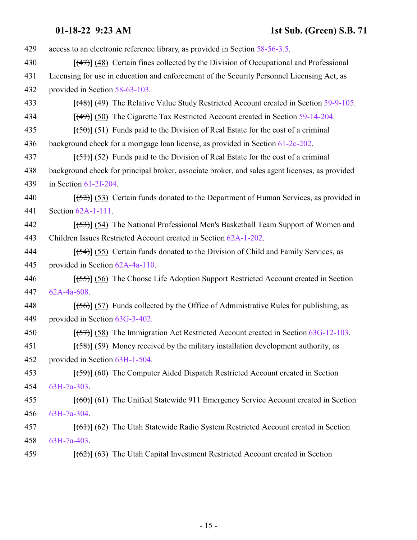| 429 | access to an electronic reference library, as provided in Section 58-56-3.5.                   |
|-----|------------------------------------------------------------------------------------------------|
| 430 | $[$ (47)] (48) Certain fines collected by the Division of Occupational and Professional        |
| 431 | Licensing for use in education and enforcement of the Security Personnel Licensing Act, as     |
| 432 | provided in Section 58-63-103.                                                                 |
| 433 | $[$ (48)] (49) The Relative Value Study Restricted Account created in Section 59-9-105.        |
| 434 | $[$ (49)] (50) The Cigarette Tax Restricted Account created in Section 59-14-204.              |
| 435 | $[50]$ (51) Funds paid to the Division of Real Estate for the cost of a criminal               |
| 436 | background check for a mortgage loan license, as provided in Section 61-2c-202.                |
| 437 | $[ (51) ]$ (52) Funds paid to the Division of Real Estate for the cost of a criminal           |
| 438 | background check for principal broker, associate broker, and sales agent licenses, as provided |
| 439 | in Section $61-2f-204$ .                                                                       |
| 440 | $[52]$ (53) Certain funds donated to the Department of Human Services, as provided in          |
| 441 | Section 62A-1-111.                                                                             |
| 442 | [(53)] (54) The National Professional Men's Basketball Team Support of Women and               |
| 443 | Children Issues Restricted Account created in Section 62A-1-202.                               |
| 444 | $[ (54) ]$ (55) Certain funds donated to the Division of Child and Family Services, as         |
| 445 | provided in Section 62A-4a-110.                                                                |
| 446 | $[ (55) ]$ (56) The Choose Life Adoption Support Restricted Account created in Section         |
| 447 | 62A-4a-608.                                                                                    |
| 448 | $[$ (56)] (57) Funds collected by the Office of Administrative Rules for publishing, as        |
| 449 | provided in Section 63G-3-402.                                                                 |
| 450 | $[ (57) ]$ (58) The Immigration Act Restricted Account created in Section 63G-12-103.          |
| 451 | $[ (58) ]$ (59) Money received by the military installation development authority, as          |
| 452 | provided in Section 63H-1-504.                                                                 |
| 453 | [(59)] (60) The Computer Aided Dispatch Restricted Account created in Section                  |
| 454 | $63H-7a-303$ .                                                                                 |
| 455 | $[$ (60)] (61) The Unified Statewide 911 Emergency Service Account created in Section          |
| 456 | 63H-7a-304                                                                                     |
| 457 | $[ (61) ] (62)$ The Utah Statewide Radio System Restricted Account created in Section          |
| 458 | $63H-7a-403$ .                                                                                 |
| 459 | $[62]$ (63) The Utah Capital Investment Restricted Account created in Section                  |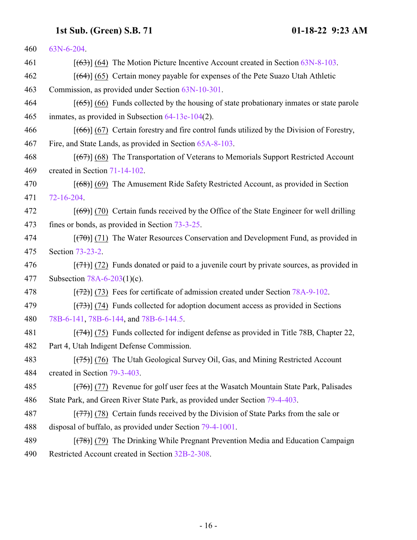| 460 | 63N-6-204.                                                                                                |
|-----|-----------------------------------------------------------------------------------------------------------|
| 461 | $[ (63) ]$ (64) The Motion Picture Incentive Account created in Section 63N-8-103.                        |
| 462 | $[ (64) ] (65)$ Certain money payable for expenses of the Pete Suazo Utah Athletic                        |
| 463 | Commission, as provided under Section 63N-10-301.                                                         |
| 464 | $[ (65) ] (66)$ Funds collected by the housing of state probationary inmates or state parole              |
| 465 | inmates, as provided in Subsection $64-13e-104(2)$ .                                                      |
| 466 | $[ (66) ] (67)$ Certain forestry and fire control funds utilized by the Division of Forestry,             |
| 467 | Fire, and State Lands, as provided in Section 65A-8-103.                                                  |
| 468 | $[ (67) ] (68)$ The Transportation of Veterans to Memorials Support Restricted Account                    |
| 469 | created in Section 71-14-102.                                                                             |
| 470 | $[ (68) ]$ (69) The Amusement Ride Safety Restricted Account, as provided in Section                      |
| 471 | 72-16-204.                                                                                                |
| 472 | $[$ (69)] (70) Certain funds received by the Office of the State Engineer for well drilling               |
| 473 | fines or bonds, as provided in Section 73-3-25.                                                           |
| 474 | $[$ (70) $]$ (71) The Water Resources Conservation and Development Fund, as provided in                   |
| 475 | Section 73-23-2.                                                                                          |
| 476 | $[\frac{(7+1)}{(7+1)}]$ (72) Funds donated or paid to a juvenile court by private sources, as provided in |
| 477 | Subsection $78A-6-203(1)(c)$ .                                                                            |
| 478 | $[ (72) ]$ (73) Fees for certificate of admission created under Section 78A-9-102.                        |
| 479 | $[ (73) ]$ (74) Funds collected for adoption document access as provided in Sections                      |
| 480 | 78B-6-141, 78B-6-144, and 78B-6-144.5.                                                                    |
| 481 | $[ (74) ]$ (75) Funds collected for indigent defense as provided in Title 78B, Chapter 22,                |
| 482 | Part 4, Utah Indigent Defense Commission.                                                                 |
| 483 | $[ (75) ]$ (76) The Utah Geological Survey Oil, Gas, and Mining Restricted Account                        |
| 484 | created in Section 79-3-403.                                                                              |
| 485 | $[ (76) ]$ (77) Revenue for golf user fees at the Wasatch Mountain State Park, Palisades                  |
| 486 | State Park, and Green River State Park, as provided under Section 79-4-403.                               |
| 487 | $[ (77) ]$ (78) Certain funds received by the Division of State Parks from the sale or                    |
| 488 | disposal of buffalo, as provided under Section 79-4-1001.                                                 |
| 489 | $[ (78) ]$ (79) The Drinking While Pregnant Prevention Media and Education Campaign                       |
| 490 | Restricted Account created in Section 32B-2-308.                                                          |